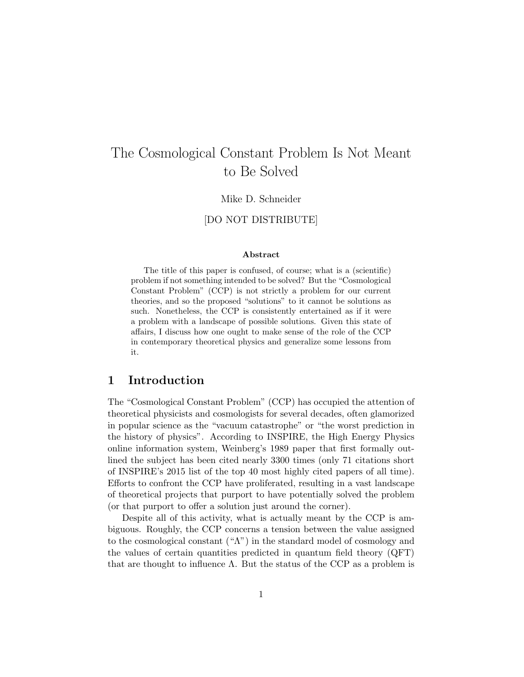# The Cosmological Constant Problem Is Not Meant to Be Solved

#### Mike D. Schneider

#### [DO NOT DISTRIBUTE]

#### Abstract

The title of this paper is confused, of course; what is a (scientific) problem if not something intended to be solved? But the "Cosmological Constant Problem" (CCP) is not strictly a problem for our current theories, and so the proposed "solutions" to it cannot be solutions as such. Nonetheless, the CCP is consistently entertained as if it were a problem with a landscape of possible solutions. Given this state of affairs, I discuss how one ought to make sense of the role of the CCP in contemporary theoretical physics and generalize some lessons from it.

### 1 Introduction

The "Cosmological Constant Problem" (CCP) has occupied the attention of theoretical physicists and cosmologists for several decades, often glamorized in popular science as the "vacuum catastrophe" or "the worst prediction in the history of physics". According to INSPIRE, the High Energy Physics online information system, Weinberg's 1989 paper that first formally outlined the subject has been cited nearly 3300 times (only 71 citations short of INSPIRE's 2015 list of the top 40 most highly cited papers of all time). Efforts to confront the CCP have proliferated, resulting in a vast landscape of theoretical projects that purport to have potentially solved the problem (or that purport to offer a solution just around the corner).

Despite all of this activity, what is actually meant by the CCP is ambiguous. Roughly, the CCP concerns a tension between the value assigned to the cosmological constant  $({\alpha}^n)$  in the standard model of cosmology and the values of certain quantities predicted in quantum field theory (QFT) that are thought to influence  $\Lambda$ . But the status of the CCP as a problem is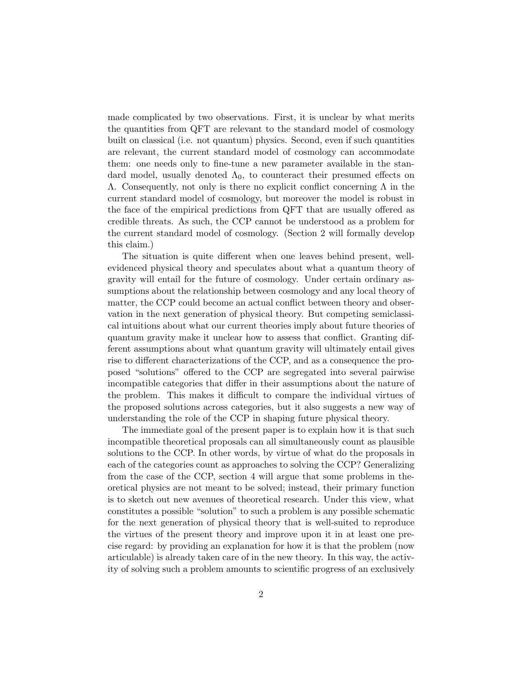made complicated by two observations. First, it is unclear by what merits the quantities from QFT are relevant to the standard model of cosmology built on classical (i.e. not quantum) physics. Second, even if such quantities are relevant, the current standard model of cosmology can accommodate them: one needs only to fine-tune a new parameter available in the standard model, usually denoted  $\Lambda_0$ , to counteract their presumed effects on  $Λ$ . Consequently, not only is there no explicit conflict concerning  $Λ$  in the current standard model of cosmology, but moreover the model is robust in the face of the empirical predictions from QFT that are usually offered as credible threats. As such, the CCP cannot be understood as a problem for the current standard model of cosmology. (Section 2 will formally develop this claim.)

The situation is quite different when one leaves behind present, wellevidenced physical theory and speculates about what a quantum theory of gravity will entail for the future of cosmology. Under certain ordinary assumptions about the relationship between cosmology and any local theory of matter, the CCP could become an actual conflict between theory and observation in the next generation of physical theory. But competing semiclassical intuitions about what our current theories imply about future theories of quantum gravity make it unclear how to assess that conflict. Granting different assumptions about what quantum gravity will ultimately entail gives rise to different characterizations of the CCP, and as a consequence the proposed "solutions" offered to the CCP are segregated into several pairwise incompatible categories that differ in their assumptions about the nature of the problem. This makes it difficult to compare the individual virtues of the proposed solutions across categories, but it also suggests a new way of understanding the role of the CCP in shaping future physical theory.

The immediate goal of the present paper is to explain how it is that such incompatible theoretical proposals can all simultaneously count as plausible solutions to the CCP. In other words, by virtue of what do the proposals in each of the categories count as approaches to solving the CCP? Generalizing from the case of the CCP, section 4 will argue that some problems in theoretical physics are not meant to be solved; instead, their primary function is to sketch out new avenues of theoretical research. Under this view, what constitutes a possible "solution" to such a problem is any possible schematic for the next generation of physical theory that is well-suited to reproduce the virtues of the present theory and improve upon it in at least one precise regard: by providing an explanation for how it is that the problem (now articulable) is already taken care of in the new theory. In this way, the activity of solving such a problem amounts to scientific progress of an exclusively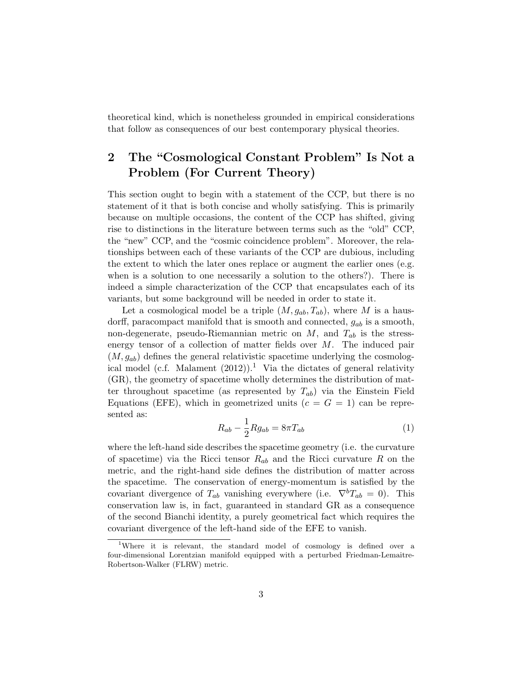theoretical kind, which is nonetheless grounded in empirical considerations that follow as consequences of our best contemporary physical theories.

## 2 The "Cosmological Constant Problem" Is Not a Problem (For Current Theory)

This section ought to begin with a statement of the CCP, but there is no statement of it that is both concise and wholly satisfying. This is primarily because on multiple occasions, the content of the CCP has shifted, giving rise to distinctions in the literature between terms such as the "old" CCP, the "new" CCP, and the "cosmic coincidence problem". Moreover, the relationships between each of these variants of the CCP are dubious, including the extent to which the later ones replace or augment the earlier ones (e.g. when is a solution to one necessarily a solution to the others?). There is indeed a simple characterization of the CCP that encapsulates each of its variants, but some background will be needed in order to state it.

Let a cosmological model be a triple  $(M, g_{ab}, T_{ab})$ , where M is a hausdorff, paracompact manifold that is smooth and connected,  $g_{ab}$  is a smooth, non-degenerate, pseudo-Riemannian metric on  $M$ , and  $T_{ab}$  is the stressenergy tensor of a collection of matter fields over  $M$ . The induced pair  $(M, g_{ab})$  defines the general relativistic spacetime underlying the cosmological model (c.f. Malament  $(2012)$ ).<sup>1</sup> Via the dictates of general relativity (GR), the geometry of spacetime wholly determines the distribution of matter throughout spacetime (as represented by  $T_{ab}$ ) via the Einstein Field Equations (EFE), which in geometrized units  $(c = G = 1)$  can be represented as:

$$
R_{ab} - \frac{1}{2} R g_{ab} = 8\pi T_{ab} \tag{1}
$$

where the left-hand side describes the spacetime geometry (i.e. the curvature of spacetime) via the Ricci tensor  $R_{ab}$  and the Ricci curvature R on the metric, and the right-hand side defines the distribution of matter across the spacetime. The conservation of energy-momentum is satisfied by the covariant divergence of  $T_{ab}$  vanishing everywhere (i.e.  $\nabla^b T_{ab} = 0$ ). This conservation law is, in fact, guaranteed in standard GR as a consequence of the second Bianchi identity, a purely geometrical fact which requires the covariant divergence of the left-hand side of the EFE to vanish.

<sup>&</sup>lt;sup>1</sup>Where it is relevant, the standard model of cosmology is defined over a four-dimensional Lorentzian manifold equipped with a perturbed Friedman-Lemaitre-Robertson-Walker (FLRW) metric.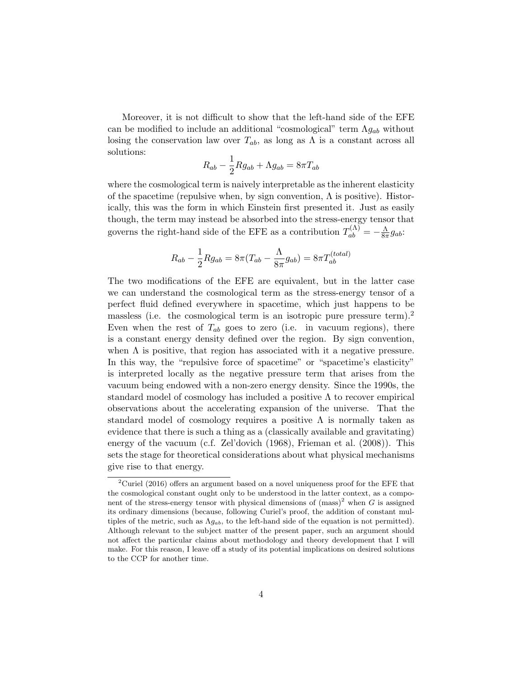Moreover, it is not difficult to show that the left-hand side of the EFE can be modified to include an additional "cosmological" term  $\Lambda g_{ab}$  without losing the conservation law over  $T_{ab}$ , as long as  $\Lambda$  is a constant across all solutions:

$$
R_{ab} - \frac{1}{2} Rg_{ab} + \Lambda g_{ab} = 8\pi T_{ab}
$$

where the cosmological term is naively interpretable as the inherent elasticity of the spacetime (repulsive when, by sign convention,  $\Lambda$  is positive). Historically, this was the form in which Einstein first presented it. Just as easily though, the term may instead be absorbed into the stress-energy tensor that governs the right-hand side of the EFE as a contribution  $T_{ab}^{(\Lambda)} = -\frac{\Lambda}{8\pi}$  $\frac{\Lambda}{8\pi}g_{ab}$ :

$$
R_{ab} - \frac{1}{2} R g_{ab} = 8\pi (T_{ab} - \frac{\Lambda}{8\pi} g_{ab}) = 8\pi T_{ab}^{(total)}
$$

The two modifications of the EFE are equivalent, but in the latter case we can understand the cosmological term as the stress-energy tensor of a perfect fluid defined everywhere in spacetime, which just happens to be massless (i.e. the cosmological term is an isotropic pure pressure term).<sup>2</sup> Even when the rest of  $T_{ab}$  goes to zero (i.e. in vacuum regions), there is a constant energy density defined over the region. By sign convention, when  $\Lambda$  is positive, that region has associated with it a negative pressure. In this way, the "repulsive force of spacetime" or "spacetime's elasticity" is interpreted locally as the negative pressure term that arises from the vacuum being endowed with a non-zero energy density. Since the 1990s, the standard model of cosmology has included a positive  $\Lambda$  to recover empirical observations about the accelerating expansion of the universe. That the standard model of cosmology requires a positive  $\Lambda$  is normally taken as evidence that there is such a thing as a (classically available and gravitating) energy of the vacuum (c.f. Zel'dovich (1968), Frieman et al. (2008)). This sets the stage for theoretical considerations about what physical mechanisms give rise to that energy.

<sup>&</sup>lt;sup>2</sup>Curiel (2016) offers an argument based on a novel uniqueness proof for the EFE that the cosmological constant ought only to be understood in the latter context, as a component of the stress-energy tensor with physical dimensions of  $(mass)^2$  when G is assigned its ordinary dimensions (because, following Curiel's proof, the addition of constant multiples of the metric, such as  $\Lambda g_{ab}$ , to the left-hand side of the equation is not permitted). Although relevant to the subject matter of the present paper, such an argument should not affect the particular claims about methodology and theory development that I will make. For this reason, I leave off a study of its potential implications on desired solutions to the CCP for another time.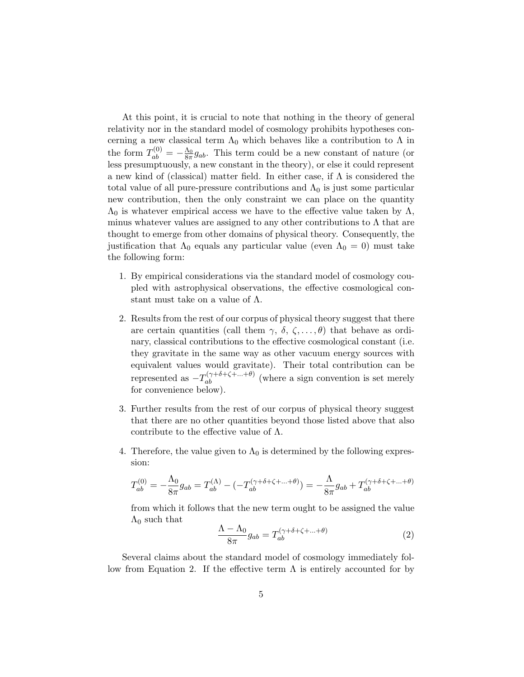At this point, it is crucial to note that nothing in the theory of general relativity nor in the standard model of cosmology prohibits hypotheses concerning a new classical term  $\Lambda_0$  which behaves like a contribution to  $\Lambda$  in the form  $T_{ab}^{(0)} = -\frac{\Lambda_0}{8\pi}g_{ab}$ . This term could be a new constant of nature (or less presumptuously, a new constant in the theory), or else it could represent a new kind of (classical) matter field. In either case, if  $\Lambda$  is considered the total value of all pure-pressure contributions and  $\Lambda_0$  is just some particular new contribution, then the only constraint we can place on the quantity  $\Lambda_0$  is whatever empirical access we have to the effective value taken by  $\Lambda$ , minus whatever values are assigned to any other contributions to  $\Lambda$  that are thought to emerge from other domains of physical theory. Consequently, the justification that  $\Lambda_0$  equals any particular value (even  $\Lambda_0 = 0$ ) must take the following form:

- 1. By empirical considerations via the standard model of cosmology coupled with astrophysical observations, the effective cosmological constant must take on a value of  $\Lambda$ .
- 2. Results from the rest of our corpus of physical theory suggest that there are certain quantities (call them  $\gamma$ ,  $\delta$ ,  $\zeta$ , ...,  $\theta$ ) that behave as ordinary, classical contributions to the effective cosmological constant (i.e. they gravitate in the same way as other vacuum energy sources with equivalent values would gravitate). Their total contribution can be represented as  $-T_{ab}^{(\gamma+\delta+\zeta+\ldots+\theta)}$  (where a sign convention is set merely for convenience below).
- 3. Further results from the rest of our corpus of physical theory suggest that there are no other quantities beyond those listed above that also contribute to the effective value of  $\Lambda$ .
- 4. Therefore, the value given to  $\Lambda_0$  is determined by the following expression:

$$
T_{ab}^{(0)} = -\frac{\Lambda_0}{8\pi}g_{ab} = T_{ab}^{(\Lambda)} - (-T_{ab}^{(\gamma+\delta+\zeta+\ldots+\theta)}) = -\frac{\Lambda}{8\pi}g_{ab} + T_{ab}^{(\gamma+\delta+\zeta+\ldots+\theta)}
$$

from which it follows that the new term ought to be assigned the value  $\Lambda_0$  such that

$$
\frac{\Lambda - \Lambda_0}{8\pi} g_{ab} = T_{ab}^{(\gamma + \delta + \zeta + \dots + \theta)} \tag{2}
$$

Several claims about the standard model of cosmology immediately follow from Equation 2. If the effective term  $\Lambda$  is entirely accounted for by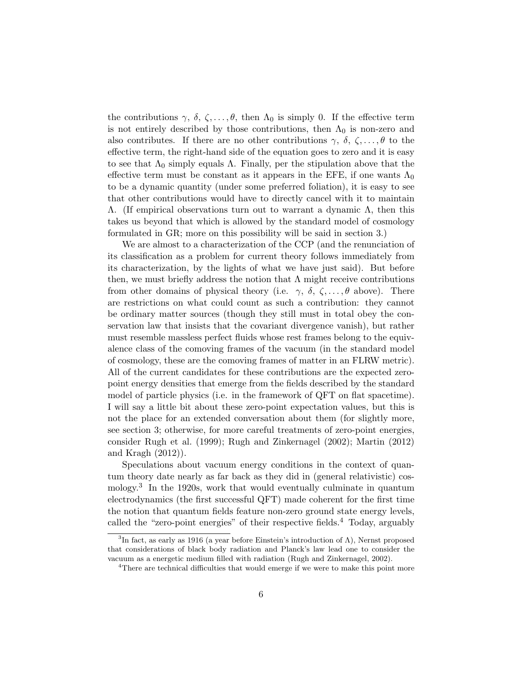the contributions  $\gamma$ ,  $\delta$ ,  $\zeta$ , ...,  $\theta$ , then  $\Lambda_0$  is simply 0. If the effective term is not entirely described by those contributions, then  $\Lambda_0$  is non-zero and also contributes. If there are no other contributions  $\gamma$ ,  $\delta$ ,  $\zeta$ , ...,  $\theta$  to the effective term, the right-hand side of the equation goes to zero and it is easy to see that  $\Lambda_0$  simply equals  $\Lambda$ . Finally, per the stipulation above that the effective term must be constant as it appears in the EFE, if one wants  $\Lambda_0$ to be a dynamic quantity (under some preferred foliation), it is easy to see that other contributions would have to directly cancel with it to maintain Λ. (If empirical observations turn out to warrant a dynamic Λ, then this takes us beyond that which is allowed by the standard model of cosmology formulated in GR; more on this possibility will be said in section 3.)

We are almost to a characterization of the CCP (and the renunciation of its classification as a problem for current theory follows immediately from its characterization, by the lights of what we have just said). But before then, we must briefly address the notion that  $\Lambda$  might receive contributions from other domains of physical theory (i.e.  $\gamma$ ,  $\delta$ ,  $\zeta$ ,...,  $\theta$  above). There are restrictions on what could count as such a contribution: they cannot be ordinary matter sources (though they still must in total obey the conservation law that insists that the covariant divergence vanish), but rather must resemble massless perfect fluids whose rest frames belong to the equivalence class of the comoving frames of the vacuum (in the standard model of cosmology, these are the comoving frames of matter in an FLRW metric). All of the current candidates for these contributions are the expected zeropoint energy densities that emerge from the fields described by the standard model of particle physics (i.e. in the framework of QFT on flat spacetime). I will say a little bit about these zero-point expectation values, but this is not the place for an extended conversation about them (for slightly more, see section 3; otherwise, for more careful treatments of zero-point energies, consider Rugh et al. (1999); Rugh and Zinkernagel (2002); Martin (2012) and Kragh (2012)).

Speculations about vacuum energy conditions in the context of quantum theory date nearly as far back as they did in (general relativistic) cosmology.<sup>3</sup> In the 1920s, work that would eventually culminate in quantum electrodynamics (the first successful QFT) made coherent for the first time the notion that quantum fields feature non-zero ground state energy levels, called the "zero-point energies" of their respective fields.<sup>4</sup> Today, arguably

<sup>&</sup>lt;sup>3</sup>In fact, as early as 1916 (a year before Einstein's introduction of  $\Lambda$ ), Nernst proposed that considerations of black body radiation and Planck's law lead one to consider the vacuum as a energetic medium filled with radiation (Rugh and Zinkernagel, 2002).

<sup>&</sup>lt;sup>4</sup>There are technical difficulties that would emerge if we were to make this point more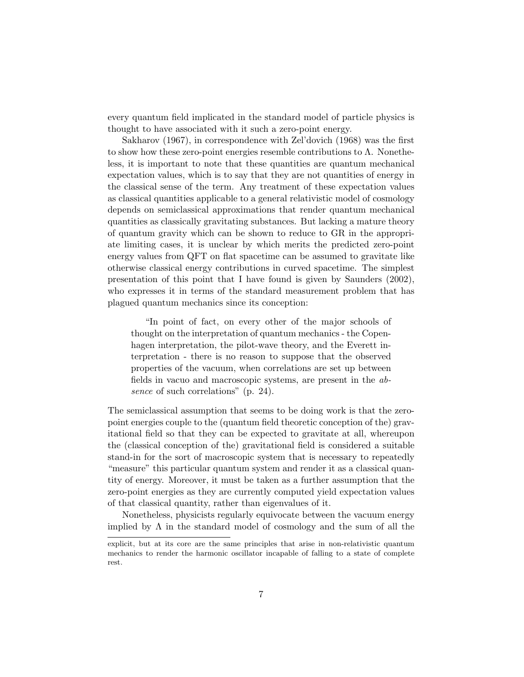every quantum field implicated in the standard model of particle physics is thought to have associated with it such a zero-point energy.

Sakharov (1967), in correspondence with Zel'dovich (1968) was the first to show how these zero-point energies resemble contributions to  $\Lambda$ . Nonetheless, it is important to note that these quantities are quantum mechanical expectation values, which is to say that they are not quantities of energy in the classical sense of the term. Any treatment of these expectation values as classical quantities applicable to a general relativistic model of cosmology depends on semiclassical approximations that render quantum mechanical quantities as classically gravitating substances. But lacking a mature theory of quantum gravity which can be shown to reduce to GR in the appropriate limiting cases, it is unclear by which merits the predicted zero-point energy values from QFT on flat spacetime can be assumed to gravitate like otherwise classical energy contributions in curved spacetime. The simplest presentation of this point that I have found is given by Saunders (2002), who expresses it in terms of the standard measurement problem that has plagued quantum mechanics since its conception:

"In point of fact, on every other of the major schools of thought on the interpretation of quantum mechanics - the Copenhagen interpretation, the pilot-wave theory, and the Everett interpretation - there is no reason to suppose that the observed properties of the vacuum, when correlations are set up between fields in vacuo and macroscopic systems, are present in the absence of such correlations" (p. 24).

The semiclassical assumption that seems to be doing work is that the zeropoint energies couple to the (quantum field theoretic conception of the) gravitational field so that they can be expected to gravitate at all, whereupon the (classical conception of the) gravitational field is considered a suitable stand-in for the sort of macroscopic system that is necessary to repeatedly "measure" this particular quantum system and render it as a classical quantity of energy. Moreover, it must be taken as a further assumption that the zero-point energies as they are currently computed yield expectation values of that classical quantity, rather than eigenvalues of it.

Nonetheless, physicists regularly equivocate between the vacuum energy implied by  $\Lambda$  in the standard model of cosmology and the sum of all the

explicit, but at its core are the same principles that arise in non-relativistic quantum mechanics to render the harmonic oscillator incapable of falling to a state of complete rest.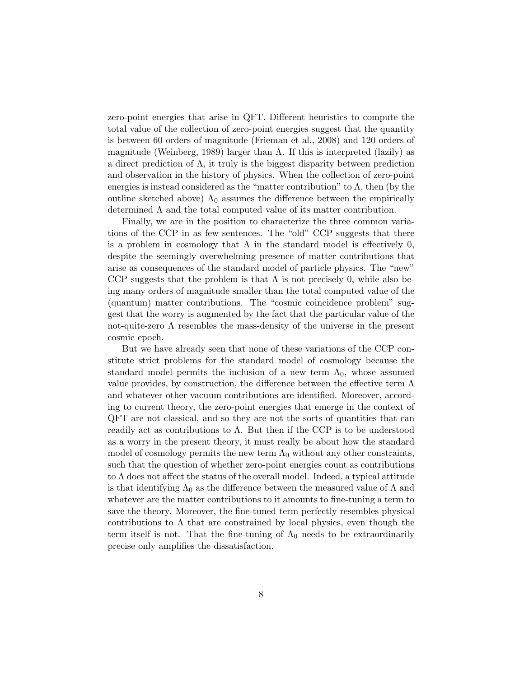zero-point energies that arise in QFT. Different heuristics to compute the total value of the collection of zero-point energies suggest that the quantity is between 60 orders of magnitude (Frieman et al., 2008) and 120 orders of magnitude (Weinberg, 1989) larger than  $\Lambda$ . If this is interpreted (lazily) as a direct prediction of  $\Lambda$ , it truly is the biggest disparity between prediction and observation in the history of physics. When the collection of zero-point energies is instead considered as the "matter contribution" to  $\Lambda$ , then (by the outline sketched above)  $\Lambda_0$  assumes the difference between the empirically determined  $\Lambda$  and the total computed value of its matter contribution.

Finally, we are in the position to characterize the three common variations of the CCP in as few sentences. The "old" CCP suggests that there is a problem in cosmology that  $\Lambda$  in the standard model is effectively 0, despite the seemingly overwhelming presence of matter contributions that arise as consequences of the standard model of particle physics. The "new" CCP suggests that the problem is that  $\Lambda$  is not precisely 0, while also being many orders of magnitude smaller than the total computed value of the (quantum) matter contributions. The "cosmic coincidence problem" suggest that the worry is augmented by the fact that the particular value of the not-quite-zero  $\Lambda$  resembles the mass-density of the universe in the present cosmic epoch.

But we have already seen that none of these variations of the CCP constitute strict problems for the standard model of cosmology because the standard model permits the inclusion of a new term  $\Lambda_0$ , whose assumed value provides, by construction, the difference between the effective term  $\Lambda$ and whatever other vacuum contributions are identified. Moreover, according to current theory, the zero-point energies that emerge in the context of QFT are not classical, and so they are not the sorts of quantities that can readily act as contributions to  $\Lambda$ . But then if the CCP is to be understood as a worry in the present theory, it must really be about how the standard model of cosmology permits the new term  $\Lambda_0$  without any other constraints, such that the question of whether zero-point energies count as contributions to  $\Lambda$  does not affect the status of the overall model. Indeed, a typical attitude is that identifying  $\Lambda_0$  as the difference between the measured value of  $\Lambda$  and whatever are the matter contributions to it amounts to fine-tuning a term to save the theory. Moreover, the fine-tuned term perfectly resembles physical contributions to  $\Lambda$  that are constrained by local physics, even though the term itself is not. That the fine-tuning of  $\Lambda_0$  needs to be extraordinarily precise only amplifies the dissatisfaction.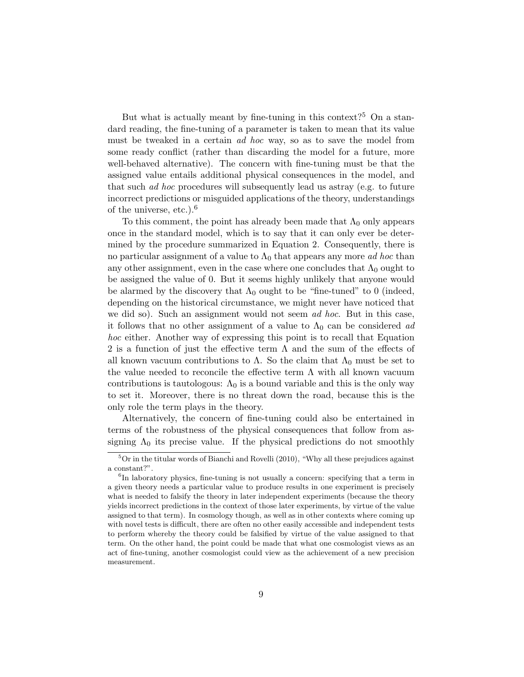But what is actually meant by fine-tuning in this context?<sup>5</sup> On a standard reading, the fine-tuning of a parameter is taken to mean that its value must be tweaked in a certain *ad hoc* way, so as to save the model from some ready conflict (rather than discarding the model for a future, more well-behaved alternative). The concern with fine-tuning must be that the assigned value entails additional physical consequences in the model, and that such ad hoc procedures will subsequently lead us astray (e.g. to future incorrect predictions or misguided applications of the theory, understandings of the universe, etc.).<sup>6</sup>

To this comment, the point has already been made that  $\Lambda_0$  only appears once in the standard model, which is to say that it can only ever be determined by the procedure summarized in Equation 2. Consequently, there is no particular assignment of a value to  $\Lambda_0$  that appears any more *ad hoc* than any other assignment, even in the case where one concludes that  $\Lambda_0$  ought to be assigned the value of 0. But it seems highly unlikely that anyone would be alarmed by the discovery that  $\Lambda_0$  ought to be "fine-tuned" to 0 (indeed, depending on the historical circumstance, we might never have noticed that we did so). Such an assignment would not seem *ad hoc*. But in this case, it follows that no other assignment of a value to  $\Lambda_0$  can be considered ad hoc either. Another way of expressing this point is to recall that Equation 2 is a function of just the effective term  $\Lambda$  and the sum of the effects of all known vacuum contributions to  $\Lambda$ . So the claim that  $\Lambda_0$  must be set to the value needed to reconcile the effective term  $\Lambda$  with all known vacuum contributions is tautologous:  $\Lambda_0$  is a bound variable and this is the only way to set it. Moreover, there is no threat down the road, because this is the only role the term plays in the theory.

Alternatively, the concern of fine-tuning could also be entertained in terms of the robustness of the physical consequences that follow from assigning  $\Lambda_0$  its precise value. If the physical predictions do not smoothly

<sup>5</sup>Or in the titular words of Bianchi and Rovelli (2010), "Why all these prejudices against a constant?".

<sup>&</sup>lt;sup>6</sup>In laboratory physics, fine-tuning is not usually a concern: specifying that a term in a given theory needs a particular value to produce results in one experiment is precisely what is needed to falsify the theory in later independent experiments (because the theory yields incorrect predictions in the context of those later experiments, by virtue of the value assigned to that term). In cosmology though, as well as in other contexts where coming up with novel tests is difficult, there are often no other easily accessible and independent tests to perform whereby the theory could be falsified by virtue of the value assigned to that term. On the other hand, the point could be made that what one cosmologist views as an act of fine-tuning, another cosmologist could view as the achievement of a new precision measurement.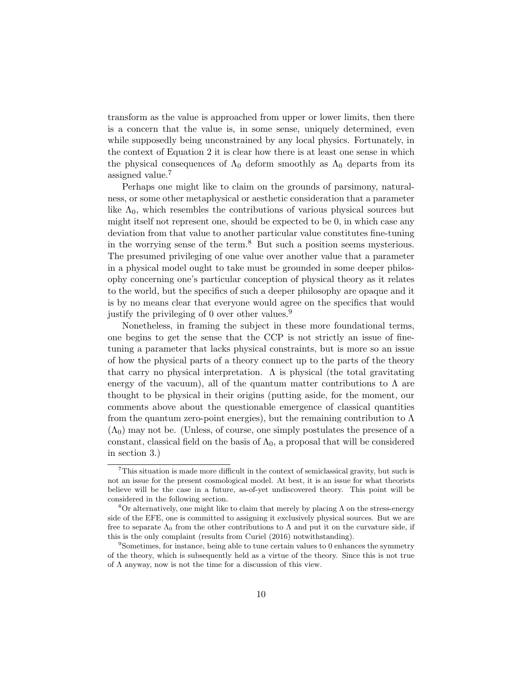transform as the value is approached from upper or lower limits, then there is a concern that the value is, in some sense, uniquely determined, even while supposedly being unconstrained by any local physics. Fortunately, in the context of Equation 2 it is clear how there is at least one sense in which the physical consequences of  $\Lambda_0$  deform smoothly as  $\Lambda_0$  departs from its assigned value.<sup>7</sup>

Perhaps one might like to claim on the grounds of parsimony, naturalness, or some other metaphysical or aesthetic consideration that a parameter like  $\Lambda_0$ , which resembles the contributions of various physical sources but might itself not represent one, should be expected to be 0, in which case any deviation from that value to another particular value constitutes fine-tuning in the worrying sense of the term.<sup>8</sup> But such a position seems mysterious. The presumed privileging of one value over another value that a parameter in a physical model ought to take must be grounded in some deeper philosophy concerning one's particular conception of physical theory as it relates to the world, but the specifics of such a deeper philosophy are opaque and it is by no means clear that everyone would agree on the specifics that would justify the privileging of 0 over other values.<sup>9</sup>

Nonetheless, in framing the subject in these more foundational terms, one begins to get the sense that the CCP is not strictly an issue of finetuning a parameter that lacks physical constraints, but is more so an issue of how the physical parts of a theory connect up to the parts of the theory that carry no physical interpretation.  $\Lambda$  is physical (the total gravitating energy of the vacuum), all of the quantum matter contributions to  $\Lambda$  are thought to be physical in their origins (putting aside, for the moment, our comments above about the questionable emergence of classical quantities from the quantum zero-point energies), but the remaining contribution to  $\Lambda$  $(\Lambda_0)$  may not be. (Unless, of course, one simply postulates the presence of a constant, classical field on the basis of  $\Lambda_0$ , a proposal that will be considered in section 3.)

<sup>7</sup>This situation is made more difficult in the context of semiclassical gravity, but such is not an issue for the present cosmological model. At best, it is an issue for what theorists believe will be the case in a future, as-of-yet undiscovered theory. This point will be considered in the following section.

<sup>&</sup>lt;sup>8</sup>Or alternatively, one might like to claim that merely by placing  $\Lambda$  on the stress-energy side of the EFE, one is committed to assigning it exclusively physical sources. But we are free to separate  $\Lambda_0$  from the other contributions to  $\Lambda$  and put it on the curvature side, if this is the only complaint (results from Curiel (2016) notwithstanding).

<sup>9</sup>Sometimes, for instance, being able to tune certain values to 0 enhances the symmetry of the theory, which is subsequently held as a virtue of the theory. Since this is not true of  $\Lambda$  anyway, now is not the time for a discussion of this view.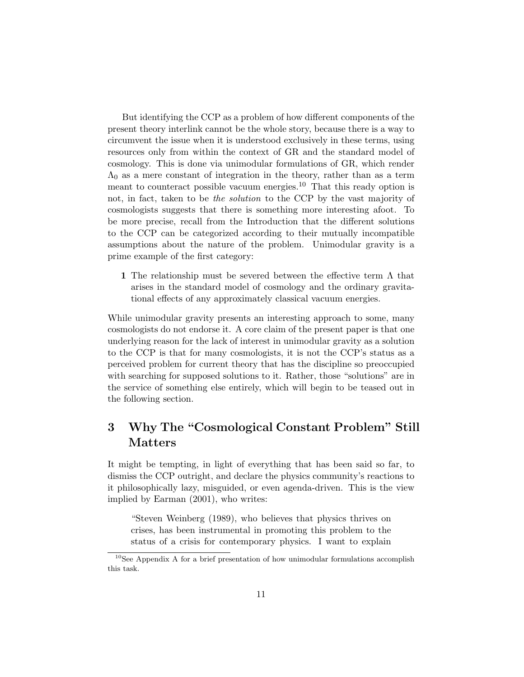But identifying the CCP as a problem of how different components of the present theory interlink cannot be the whole story, because there is a way to circumvent the issue when it is understood exclusively in these terms, using resources only from within the context of GR and the standard model of cosmology. This is done via unimodular formulations of GR, which render  $\Lambda_0$  as a mere constant of integration in the theory, rather than as a term meant to counteract possible vacuum energies.<sup>10</sup> That this ready option is not, in fact, taken to be the solution to the CCP by the vast majority of cosmologists suggests that there is something more interesting afoot. To be more precise, recall from the Introduction that the different solutions to the CCP can be categorized according to their mutually incompatible assumptions about the nature of the problem. Unimodular gravity is a prime example of the first category:

1 The relationship must be severed between the effective term  $\Lambda$  that arises in the standard model of cosmology and the ordinary gravitational effects of any approximately classical vacuum energies.

While unimodular gravity presents an interesting approach to some, many cosmologists do not endorse it. A core claim of the present paper is that one underlying reason for the lack of interest in unimodular gravity as a solution to the CCP is that for many cosmologists, it is not the CCP's status as a perceived problem for current theory that has the discipline so preoccupied with searching for supposed solutions to it. Rather, those "solutions" are in the service of something else entirely, which will begin to be teased out in the following section.

## 3 Why The "Cosmological Constant Problem" Still Matters

It might be tempting, in light of everything that has been said so far, to dismiss the CCP outright, and declare the physics community's reactions to it philosophically lazy, misguided, or even agenda-driven. This is the view implied by Earman (2001), who writes:

"Steven Weinberg (1989), who believes that physics thrives on crises, has been instrumental in promoting this problem to the status of a crisis for contemporary physics. I want to explain

 $10$ See Appendix A for a brief presentation of how unimodular formulations accomplish this task.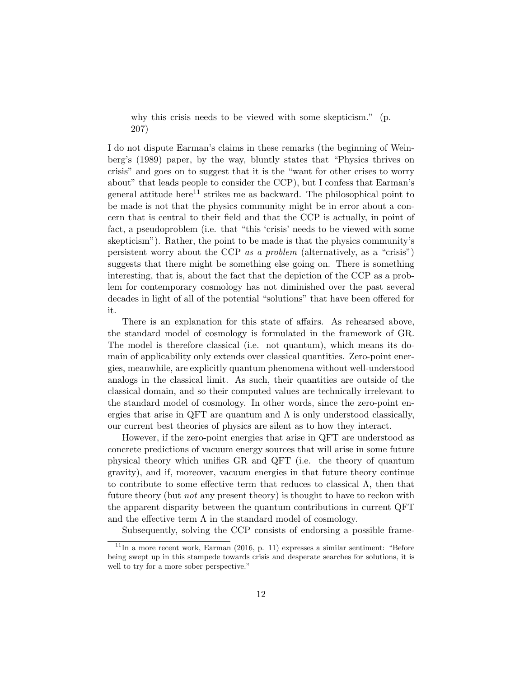why this crisis needs to be viewed with some skepticism." (p. 207)

I do not dispute Earman's claims in these remarks (the beginning of Weinberg's (1989) paper, by the way, bluntly states that "Physics thrives on crisis" and goes on to suggest that it is the "want for other crises to worry about" that leads people to consider the CCP), but I confess that Earman's general attitude here<sup>11</sup> strikes me as backward. The philosophical point to be made is not that the physics community might be in error about a concern that is central to their field and that the CCP is actually, in point of fact, a pseudoproblem (i.e. that "this 'crisis' needs to be viewed with some skepticism"). Rather, the point to be made is that the physics community's persistent worry about the CCP as a problem (alternatively, as a "crisis") suggests that there might be something else going on. There is something interesting, that is, about the fact that the depiction of the CCP as a problem for contemporary cosmology has not diminished over the past several decades in light of all of the potential "solutions" that have been offered for it.

There is an explanation for this state of affairs. As rehearsed above, the standard model of cosmology is formulated in the framework of GR. The model is therefore classical (i.e. not quantum), which means its domain of applicability only extends over classical quantities. Zero-point energies, meanwhile, are explicitly quantum phenomena without well-understood analogs in the classical limit. As such, their quantities are outside of the classical domain, and so their computed values are technically irrelevant to the standard model of cosmology. In other words, since the zero-point energies that arise in QFT are quantum and  $\Lambda$  is only understood classically, our current best theories of physics are silent as to how they interact.

However, if the zero-point energies that arise in QFT are understood as concrete predictions of vacuum energy sources that will arise in some future physical theory which unifies GR and QFT (i.e. the theory of quantum gravity), and if, moreover, vacuum energies in that future theory continue to contribute to some effective term that reduces to classical  $\Lambda$ , then that future theory (but *not* any present theory) is thought to have to reckon with the apparent disparity between the quantum contributions in current QFT and the effective term  $\Lambda$  in the standard model of cosmology.

Subsequently, solving the CCP consists of endorsing a possible frame-

 $11$ In a more recent work, Earman (2016, p. 11) expresses a similar sentiment: "Before being swept up in this stampede towards crisis and desperate searches for solutions, it is well to try for a more sober perspective."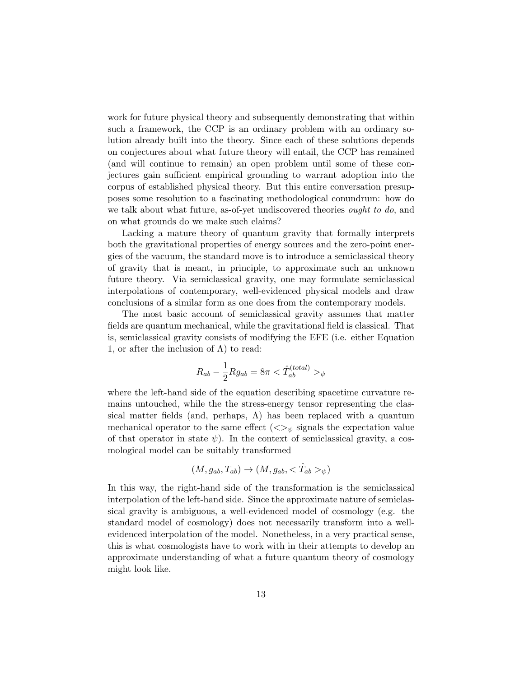work for future physical theory and subsequently demonstrating that within such a framework, the CCP is an ordinary problem with an ordinary solution already built into the theory. Since each of these solutions depends on conjectures about what future theory will entail, the CCP has remained (and will continue to remain) an open problem until some of these conjectures gain sufficient empirical grounding to warrant adoption into the corpus of established physical theory. But this entire conversation presupposes some resolution to a fascinating methodological conundrum: how do we talk about what future, as-of-yet undiscovered theories *ought to do*, and on what grounds do we make such claims?

Lacking a mature theory of quantum gravity that formally interprets both the gravitational properties of energy sources and the zero-point energies of the vacuum, the standard move is to introduce a semiclassical theory of gravity that is meant, in principle, to approximate such an unknown future theory. Via semiclassical gravity, one may formulate semiclassical interpolations of contemporary, well-evidenced physical models and draw conclusions of a similar form as one does from the contemporary models.

The most basic account of semiclassical gravity assumes that matter fields are quantum mechanical, while the gravitational field is classical. That is, semiclassical gravity consists of modifying the EFE (i.e. either Equation 1, or after the inclusion of  $\Lambda$ ) to read:

$$
R_{ab} - \frac{1}{2} R g_{ab} = 8\pi < \hat{T}_{ab}^{(total)} > \psi
$$

where the left-hand side of the equation describing spacetime curvature remains untouched, while the the stress-energy tensor representing the classical matter fields (and, perhaps,  $\Lambda$ ) has been replaced with a quantum mechanical operator to the same effect  $\langle \langle \rangle_{\psi}$  signals the expectation value of that operator in state  $\psi$ ). In the context of semiclassical gravity, a cosmological model can be suitably transformed

$$
(M, g_{ab}, T_{ab}) \rightarrow (M, g_{ab}, <\hat{T}_{ab}>_{\psi})
$$

In this way, the right-hand side of the transformation is the semiclassical interpolation of the left-hand side. Since the approximate nature of semiclassical gravity is ambiguous, a well-evidenced model of cosmology (e.g. the standard model of cosmology) does not necessarily transform into a wellevidenced interpolation of the model. Nonetheless, in a very practical sense, this is what cosmologists have to work with in their attempts to develop an approximate understanding of what a future quantum theory of cosmology might look like.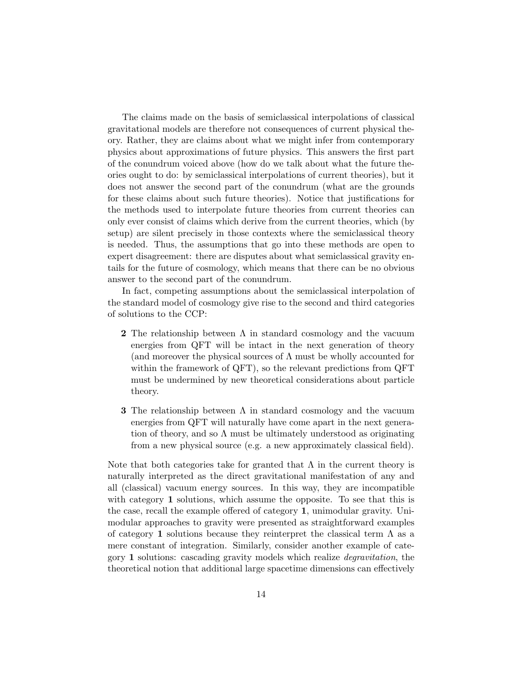The claims made on the basis of semiclassical interpolations of classical gravitational models are therefore not consequences of current physical theory. Rather, they are claims about what we might infer from contemporary physics about approximations of future physics. This answers the first part of the conundrum voiced above (how do we talk about what the future theories ought to do: by semiclassical interpolations of current theories), but it does not answer the second part of the conundrum (what are the grounds for these claims about such future theories). Notice that justifications for the methods used to interpolate future theories from current theories can only ever consist of claims which derive from the current theories, which (by setup) are silent precisely in those contexts where the semiclassical theory is needed. Thus, the assumptions that go into these methods are open to expert disagreement: there are disputes about what semiclassical gravity entails for the future of cosmology, which means that there can be no obvious answer to the second part of the conundrum.

In fact, competing assumptions about the semiclassical interpolation of the standard model of cosmology give rise to the second and third categories of solutions to the CCP:

- **2** The relationship between  $\Lambda$  in standard cosmology and the vacuum energies from QFT will be intact in the next generation of theory (and moreover the physical sources of  $\Lambda$  must be wholly accounted for within the framework of QFT), so the relevant predictions from QFT must be undermined by new theoretical considerations about particle theory.
- **3** The relationship between  $\Lambda$  in standard cosmology and the vacuum energies from QFT will naturally have come apart in the next generation of theory, and so  $\Lambda$  must be ultimately understood as originating from a new physical source (e.g. a new approximately classical field).

Note that both categories take for granted that  $\Lambda$  in the current theory is naturally interpreted as the direct gravitational manifestation of any and all (classical) vacuum energy sources. In this way, they are incompatible with category 1 solutions, which assume the opposite. To see that this is the case, recall the example offered of category 1, unimodular gravity. Unimodular approaches to gravity were presented as straightforward examples of category 1 solutions because they reinterpret the classical term  $\Lambda$  as a mere constant of integration. Similarly, consider another example of category 1 solutions: cascading gravity models which realize degravitation, the theoretical notion that additional large spacetime dimensions can effectively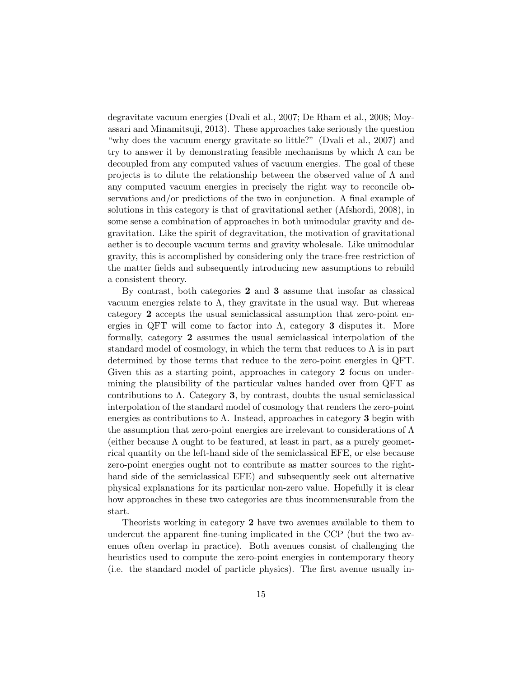degravitate vacuum energies (Dvali et al., 2007; De Rham et al., 2008; Moyassari and Minamitsuji, 2013). These approaches take seriously the question "why does the vacuum energy gravitate so little?" (Dvali et al., 2007) and try to answer it by demonstrating feasible mechanisms by which  $\Lambda$  can be decoupled from any computed values of vacuum energies. The goal of these projects is to dilute the relationship between the observed value of  $\Lambda$  and any computed vacuum energies in precisely the right way to reconcile observations and/or predictions of the two in conjunction. A final example of solutions in this category is that of gravitational aether (Afshordi, 2008), in some sense a combination of approaches in both unimodular gravity and degravitation. Like the spirit of degravitation, the motivation of gravitational aether is to decouple vacuum terms and gravity wholesale. Like unimodular gravity, this is accomplished by considering only the trace-free restriction of the matter fields and subsequently introducing new assumptions to rebuild a consistent theory.

By contrast, both categories 2 and 3 assume that insofar as classical vacuum energies relate to  $\Lambda$ , they gravitate in the usual way. But whereas category 2 accepts the usual semiclassical assumption that zero-point energies in QFT will come to factor into  $\Lambda$ , category 3 disputes it. More formally, category 2 assumes the usual semiclassical interpolation of the standard model of cosmology, in which the term that reduces to  $\Lambda$  is in part determined by those terms that reduce to the zero-point energies in QFT. Given this as a starting point, approaches in category 2 focus on undermining the plausibility of the particular values handed over from QFT as contributions to  $\Lambda$ . Category 3, by contrast, doubts the usual semiclassical interpolation of the standard model of cosmology that renders the zero-point energies as contributions to  $\Lambda$ . Instead, approaches in category 3 begin with the assumption that zero-point energies are irrelevant to considerations of  $\Lambda$ (either because  $\Lambda$  ought to be featured, at least in part, as a purely geometrical quantity on the left-hand side of the semiclassical EFE, or else because zero-point energies ought not to contribute as matter sources to the righthand side of the semiclassical EFE) and subsequently seek out alternative physical explanations for its particular non-zero value. Hopefully it is clear how approaches in these two categories are thus incommensurable from the start.

Theorists working in category 2 have two avenues available to them to undercut the apparent fine-tuning implicated in the CCP (but the two avenues often overlap in practice). Both avenues consist of challenging the heuristics used to compute the zero-point energies in contemporary theory (i.e. the standard model of particle physics). The first avenue usually in-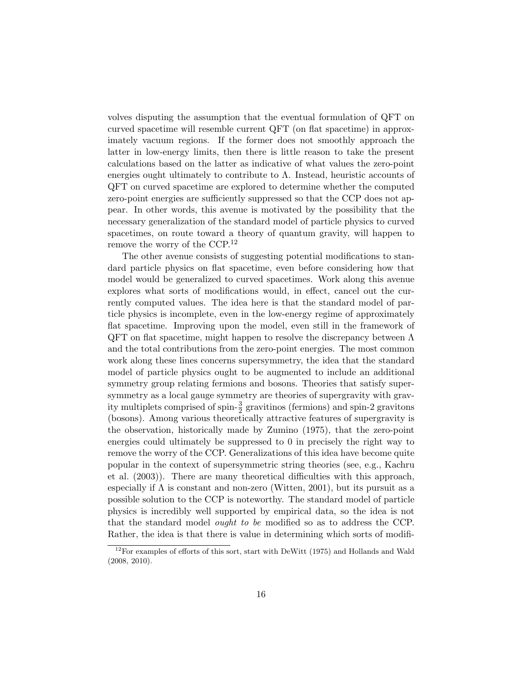volves disputing the assumption that the eventual formulation of QFT on curved spacetime will resemble current QFT (on flat spacetime) in approximately vacuum regions. If the former does not smoothly approach the latter in low-energy limits, then there is little reason to take the present calculations based on the latter as indicative of what values the zero-point energies ought ultimately to contribute to  $\Lambda$ . Instead, heuristic accounts of QFT on curved spacetime are explored to determine whether the computed zero-point energies are sufficiently suppressed so that the CCP does not appear. In other words, this avenue is motivated by the possibility that the necessary generalization of the standard model of particle physics to curved spacetimes, on route toward a theory of quantum gravity, will happen to remove the worry of the CCP.<sup>12</sup>

The other avenue consists of suggesting potential modifications to standard particle physics on flat spacetime, even before considering how that model would be generalized to curved spacetimes. Work along this avenue explores what sorts of modifications would, in effect, cancel out the currently computed values. The idea here is that the standard model of particle physics is incomplete, even in the low-energy regime of approximately flat spacetime. Improving upon the model, even still in the framework of QFT on flat spacetime, might happen to resolve the discrepancy between  $\Lambda$ and the total contributions from the zero-point energies. The most common work along these lines concerns supersymmetry, the idea that the standard model of particle physics ought to be augmented to include an additional symmetry group relating fermions and bosons. Theories that satisfy supersymmetry as a local gauge symmetry are theories of supergravity with gravity multiplets comprised of spin- $\frac{3}{2}$  gravitinos (fermions) and spin-2 gravitons (bosons). Among various theoretically attractive features of supergravity is the observation, historically made by Zumino (1975), that the zero-point energies could ultimately be suppressed to 0 in precisely the right way to remove the worry of the CCP. Generalizations of this idea have become quite popular in the context of supersymmetric string theories (see, e.g., Kachru et al. (2003)). There are many theoretical difficulties with this approach, especially if  $\Lambda$  is constant and non-zero (Witten, 2001), but its pursuit as a possible solution to the CCP is noteworthy. The standard model of particle physics is incredibly well supported by empirical data, so the idea is not that the standard model ought to be modified so as to address the CCP. Rather, the idea is that there is value in determining which sorts of modifi-

 $12$ For examples of efforts of this sort, start with DeWitt (1975) and Hollands and Wald (2008, 2010).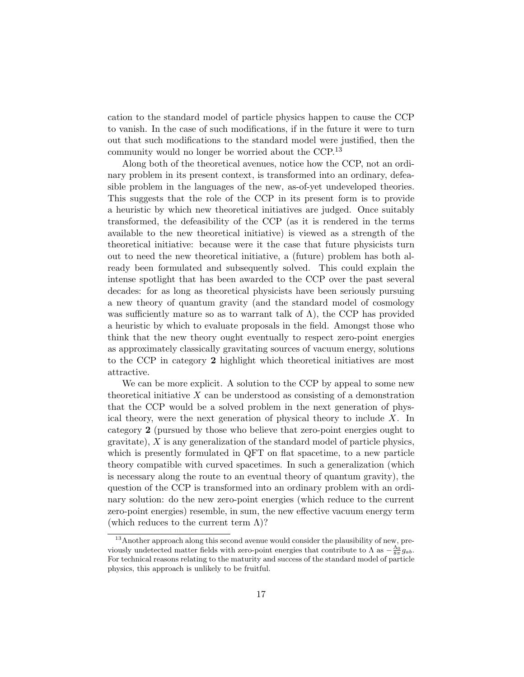cation to the standard model of particle physics happen to cause the CCP to vanish. In the case of such modifications, if in the future it were to turn out that such modifications to the standard model were justified, then the community would no longer be worried about the CCP.<sup>13</sup>

Along both of the theoretical avenues, notice how the CCP, not an ordinary problem in its present context, is transformed into an ordinary, defeasible problem in the languages of the new, as-of-yet undeveloped theories. This suggests that the role of the CCP in its present form is to provide a heuristic by which new theoretical initiatives are judged. Once suitably transformed, the defeasibility of the CCP (as it is rendered in the terms available to the new theoretical initiative) is viewed as a strength of the theoretical initiative: because were it the case that future physicists turn out to need the new theoretical initiative, a (future) problem has both already been formulated and subsequently solved. This could explain the intense spotlight that has been awarded to the CCP over the past several decades: for as long as theoretical physicists have been seriously pursuing a new theory of quantum gravity (and the standard model of cosmology was sufficiently mature so as to warrant talk of  $\Lambda$ ), the CCP has provided a heuristic by which to evaluate proposals in the field. Amongst those who think that the new theory ought eventually to respect zero-point energies as approximately classically gravitating sources of vacuum energy, solutions to the CCP in category 2 highlight which theoretical initiatives are most attractive.

We can be more explicit. A solution to the CCP by appeal to some new theoretical initiative  $X$  can be understood as consisting of a demonstration that the CCP would be a solved problem in the next generation of physical theory, were the next generation of physical theory to include X. In category 2 (pursued by those who believe that zero-point energies ought to gravitate), X is any generalization of the standard model of particle physics, which is presently formulated in QFT on flat spacetime, to a new particle theory compatible with curved spacetimes. In such a generalization (which is necessary along the route to an eventual theory of quantum gravity), the question of the CCP is transformed into an ordinary problem with an ordinary solution: do the new zero-point energies (which reduce to the current zero-point energies) resemble, in sum, the new effective vacuum energy term (which reduces to the current term  $\Lambda$ )?

<sup>&</sup>lt;sup>13</sup> Another approach along this second avenue would consider the plausibility of new, previously undetected matter fields with zero-point energies that contribute to  $\Lambda$  as  $-\frac{\Lambda_0}{8\pi}g_{ab}$ . For technical reasons relating to the maturity and success of the standard model of particle physics, this approach is unlikely to be fruitful.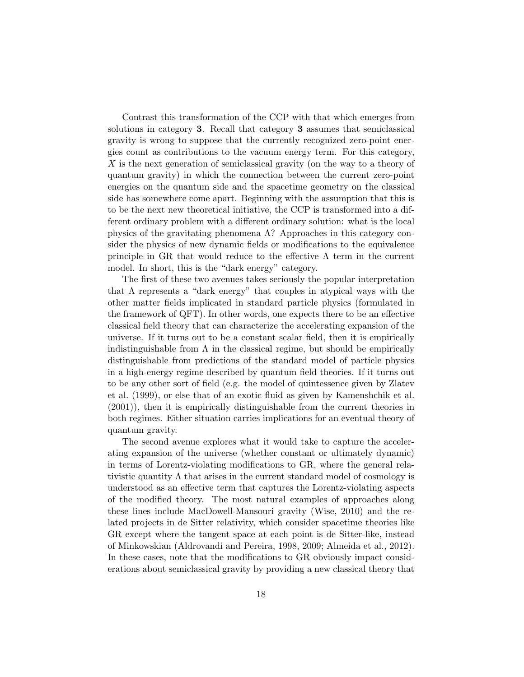Contrast this transformation of the CCP with that which emerges from solutions in category 3. Recall that category 3 assumes that semiclassical gravity is wrong to suppose that the currently recognized zero-point energies count as contributions to the vacuum energy term. For this category, X is the next generation of semiclassical gravity (on the way to a theory of quantum gravity) in which the connection between the current zero-point energies on the quantum side and the spacetime geometry on the classical side has somewhere come apart. Beginning with the assumption that this is to be the next new theoretical initiative, the CCP is transformed into a different ordinary problem with a different ordinary solution: what is the local physics of the gravitating phenomena  $\Lambda$ ? Approaches in this category consider the physics of new dynamic fields or modifications to the equivalence principle in GR that would reduce to the effective  $\Lambda$  term in the current model. In short, this is the "dark energy" category.

The first of these two avenues takes seriously the popular interpretation that  $\Lambda$  represents a "dark energy" that couples in atypical ways with the other matter fields implicated in standard particle physics (formulated in the framework of QFT). In other words, one expects there to be an effective classical field theory that can characterize the accelerating expansion of the universe. If it turns out to be a constant scalar field, then it is empirically indistinguishable from  $\Lambda$  in the classical regime, but should be empirically distinguishable from predictions of the standard model of particle physics in a high-energy regime described by quantum field theories. If it turns out to be any other sort of field (e.g. the model of quintessence given by Zlatev et al. (1999), or else that of an exotic fluid as given by Kamenshchik et al. (2001)), then it is empirically distinguishable from the current theories in both regimes. Either situation carries implications for an eventual theory of quantum gravity.

The second avenue explores what it would take to capture the accelerating expansion of the universe (whether constant or ultimately dynamic) in terms of Lorentz-violating modifications to GR, where the general relativistic quantity  $\Lambda$  that arises in the current standard model of cosmology is understood as an effective term that captures the Lorentz-violating aspects of the modified theory. The most natural examples of approaches along these lines include MacDowell-Mansouri gravity (Wise, 2010) and the related projects in de Sitter relativity, which consider spacetime theories like GR except where the tangent space at each point is de Sitter-like, instead of Minkowskian (Aldrovandi and Pereira, 1998, 2009; Almeida et al., 2012). In these cases, note that the modifications to GR obviously impact considerations about semiclassical gravity by providing a new classical theory that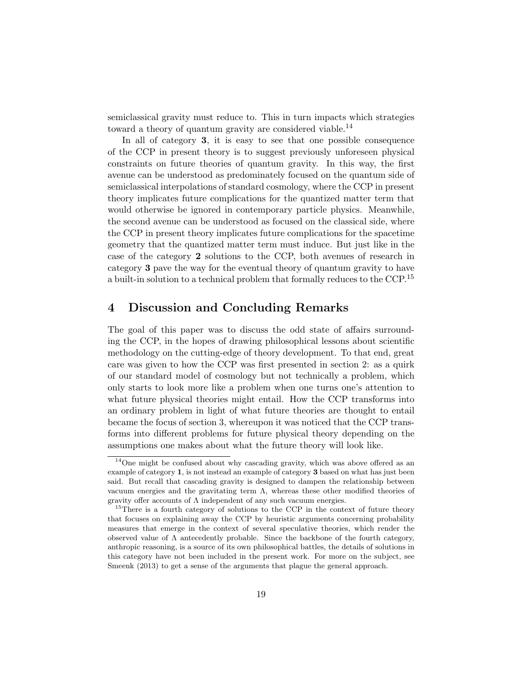semiclassical gravity must reduce to. This in turn impacts which strategies toward a theory of quantum gravity are considered viable.<sup>14</sup>

In all of category 3, it is easy to see that one possible consequence of the CCP in present theory is to suggest previously unforeseen physical constraints on future theories of quantum gravity. In this way, the first avenue can be understood as predominately focused on the quantum side of semiclassical interpolations of standard cosmology, where the CCP in present theory implicates future complications for the quantized matter term that would otherwise be ignored in contemporary particle physics. Meanwhile, the second avenue can be understood as focused on the classical side, where the CCP in present theory implicates future complications for the spacetime geometry that the quantized matter term must induce. But just like in the case of the category 2 solutions to the CCP, both avenues of research in category 3 pave the way for the eventual theory of quantum gravity to have a built-in solution to a technical problem that formally reduces to the CCP.<sup>15</sup>

### 4 Discussion and Concluding Remarks

The goal of this paper was to discuss the odd state of affairs surrounding the CCP, in the hopes of drawing philosophical lessons about scientific methodology on the cutting-edge of theory development. To that end, great care was given to how the CCP was first presented in section 2: as a quirk of our standard model of cosmology but not technically a problem, which only starts to look more like a problem when one turns one's attention to what future physical theories might entail. How the CCP transforms into an ordinary problem in light of what future theories are thought to entail became the focus of section 3, whereupon it was noticed that the CCP transforms into different problems for future physical theory depending on the assumptions one makes about what the future theory will look like.

<sup>&</sup>lt;sup>14</sup>One might be confused about why cascading gravity, which was above offered as an example of category 1, is not instead an example of category 3 based on what has just been said. But recall that cascading gravity is designed to dampen the relationship between vacuum energies and the gravitating term  $\Lambda$ , whereas these other modified theories of gravity offer accounts of  $\Lambda$  independent of any such vacuum energies.

<sup>&</sup>lt;sup>15</sup>There is a fourth category of solutions to the CCP in the context of future theory that focuses on explaining away the CCP by heuristic arguments concerning probability measures that emerge in the context of several speculative theories, which render the observed value of  $\Lambda$  antecedently probable. Since the backbone of the fourth category, anthropic reasoning, is a source of its own philosophical battles, the details of solutions in this category have not been included in the present work. For more on the subject, see Smeenk (2013) to get a sense of the arguments that plague the general approach.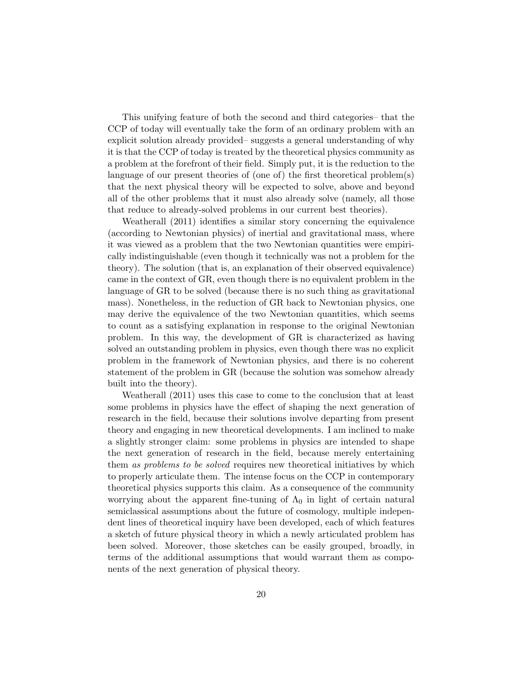This unifying feature of both the second and third categories– that the CCP of today will eventually take the form of an ordinary problem with an explicit solution already provided– suggests a general understanding of why it is that the CCP of today is treated by the theoretical physics community as a problem at the forefront of their field. Simply put, it is the reduction to the language of our present theories of (one of) the first theoretical problem(s) that the next physical theory will be expected to solve, above and beyond all of the other problems that it must also already solve (namely, all those that reduce to already-solved problems in our current best theories).

Weatherall (2011) identifies a similar story concerning the equivalence (according to Newtonian physics) of inertial and gravitational mass, where it was viewed as a problem that the two Newtonian quantities were empirically indistinguishable (even though it technically was not a problem for the theory). The solution (that is, an explanation of their observed equivalence) came in the context of GR, even though there is no equivalent problem in the language of GR to be solved (because there is no such thing as gravitational mass). Nonetheless, in the reduction of GR back to Newtonian physics, one may derive the equivalence of the two Newtonian quantities, which seems to count as a satisfying explanation in response to the original Newtonian problem. In this way, the development of GR is characterized as having solved an outstanding problem in physics, even though there was no explicit problem in the framework of Newtonian physics, and there is no coherent statement of the problem in GR (because the solution was somehow already built into the theory).

Weatherall (2011) uses this case to come to the conclusion that at least some problems in physics have the effect of shaping the next generation of research in the field, because their solutions involve departing from present theory and engaging in new theoretical developments. I am inclined to make a slightly stronger claim: some problems in physics are intended to shape the next generation of research in the field, because merely entertaining them as problems to be solved requires new theoretical initiatives by which to properly articulate them. The intense focus on the CCP in contemporary theoretical physics supports this claim. As a consequence of the community worrying about the apparent fine-tuning of  $\Lambda_0$  in light of certain natural semiclassical assumptions about the future of cosmology, multiple independent lines of theoretical inquiry have been developed, each of which features a sketch of future physical theory in which a newly articulated problem has been solved. Moreover, those sketches can be easily grouped, broadly, in terms of the additional assumptions that would warrant them as components of the next generation of physical theory.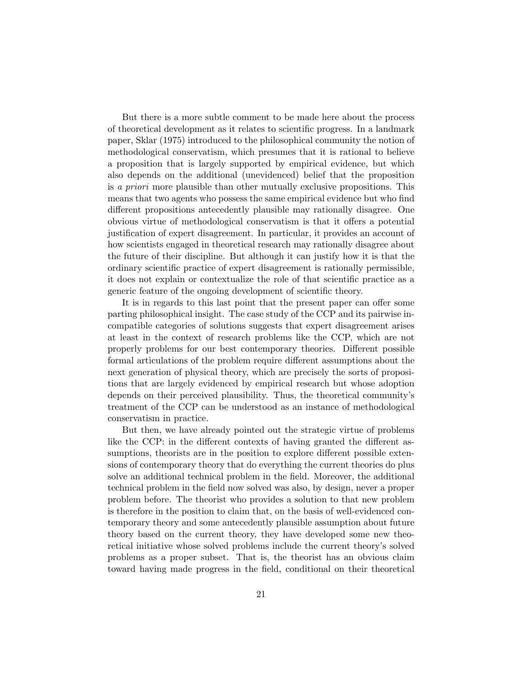But there is a more subtle comment to be made here about the process of theoretical development as it relates to scientific progress. In a landmark paper, Sklar (1975) introduced to the philosophical community the notion of methodological conservatism, which presumes that it is rational to believe a proposition that is largely supported by empirical evidence, but which also depends on the additional (unevidenced) belief that the proposition is a priori more plausible than other mutually exclusive propositions. This means that two agents who possess the same empirical evidence but who find different propositions antecedently plausible may rationally disagree. One obvious virtue of methodological conservatism is that it offers a potential justification of expert disagreement. In particular, it provides an account of how scientists engaged in theoretical research may rationally disagree about the future of their discipline. But although it can justify how it is that the ordinary scientific practice of expert disagreement is rationally permissible, it does not explain or contextualize the role of that scientific practice as a generic feature of the ongoing development of scientific theory.

It is in regards to this last point that the present paper can offer some parting philosophical insight. The case study of the CCP and its pairwise incompatible categories of solutions suggests that expert disagreement arises at least in the context of research problems like the CCP, which are not properly problems for our best contemporary theories. Different possible formal articulations of the problem require different assumptions about the next generation of physical theory, which are precisely the sorts of propositions that are largely evidenced by empirical research but whose adoption depends on their perceived plausibility. Thus, the theoretical community's treatment of the CCP can be understood as an instance of methodological conservatism in practice.

But then, we have already pointed out the strategic virtue of problems like the CCP: in the different contexts of having granted the different assumptions, theorists are in the position to explore different possible extensions of contemporary theory that do everything the current theories do plus solve an additional technical problem in the field. Moreover, the additional technical problem in the field now solved was also, by design, never a proper problem before. The theorist who provides a solution to that new problem is therefore in the position to claim that, on the basis of well-evidenced contemporary theory and some antecedently plausible assumption about future theory based on the current theory, they have developed some new theoretical initiative whose solved problems include the current theory's solved problems as a proper subset. That is, the theorist has an obvious claim toward having made progress in the field, conditional on their theoretical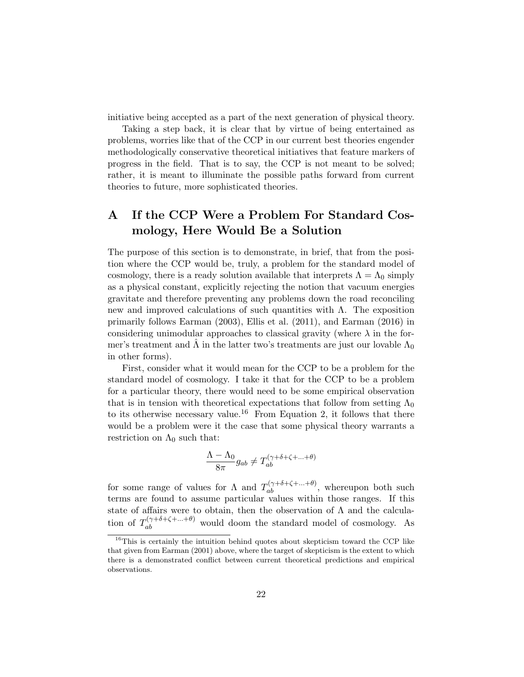initiative being accepted as a part of the next generation of physical theory.

Taking a step back, it is clear that by virtue of being entertained as problems, worries like that of the CCP in our current best theories engender methodologically conservative theoretical initiatives that feature markers of progress in the field. That is to say, the CCP is not meant to be solved; rather, it is meant to illuminate the possible paths forward from current theories to future, more sophisticated theories.

## A If the CCP Were a Problem For Standard Cosmology, Here Would Be a Solution

The purpose of this section is to demonstrate, in brief, that from the position where the CCP would be, truly, a problem for the standard model of cosmology, there is a ready solution available that interprets  $\Lambda = \Lambda_0$  simply as a physical constant, explicitly rejecting the notion that vacuum energies gravitate and therefore preventing any problems down the road reconciling new and improved calculations of such quantities with  $Λ$ . The exposition primarily follows Earman (2003), Ellis et al. (2011), and Earman (2016) in considering unimodular approaches to classical gravity (where  $\lambda$  in the former's treatment and  $\hat{\Lambda}$  in the latter two's treatments are just our lovable  $\Lambda_0$ in other forms).

First, consider what it would mean for the CCP to be a problem for the standard model of cosmology. I take it that for the CCP to be a problem for a particular theory, there would need to be some empirical observation that is in tension with theoretical expectations that follow from setting  $\Lambda_0$ to its otherwise necessary value.<sup>16</sup> From Equation 2, it follows that there would be a problem were it the case that some physical theory warrants a restriction on  $\Lambda_0$  such that:

$$
\frac{\Lambda - \Lambda_0}{8\pi}g_{ab} \neq T_{ab}^{(\gamma + \delta + \zeta + \dots + \theta)}
$$

for some range of values for  $\Lambda$  and  $T_{ab}^{(\gamma+\delta+\zeta+\ldots+\theta)}$ , whereupon both such terms are found to assume particular values within those ranges. If this state of affairs were to obtain, then the observation of  $\Lambda$  and the calculation of  $T_{ab}^{(\gamma+\delta+\zeta+\ldots+\theta)}$  would doom the standard model of cosmology. As

<sup>&</sup>lt;sup>16</sup>This is certainly the intuition behind quotes about skepticism toward the CCP like that given from Earman (2001) above, where the target of skepticism is the extent to which there is a demonstrated conflict between current theoretical predictions and empirical observations.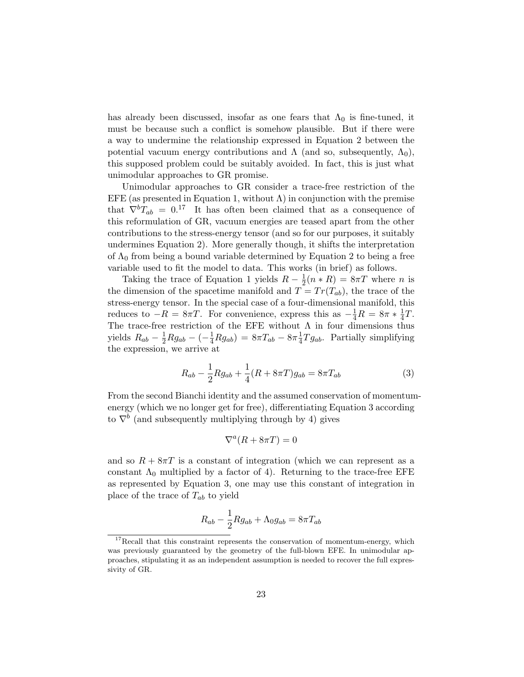has already been discussed, insofar as one fears that  $\Lambda_0$  is fine-tuned, it must be because such a conflict is somehow plausible. But if there were a way to undermine the relationship expressed in Equation 2 between the potential vacuum energy contributions and  $\Lambda$  (and so, subsequently,  $\Lambda_0$ ), this supposed problem could be suitably avoided. In fact, this is just what unimodular approaches to GR promise.

Unimodular approaches to GR consider a trace-free restriction of the EFE (as presented in Equation 1, without  $\Lambda$ ) in conjunction with the premise that  $\nabla^b T_{ab} = 0^{17}$  It has often been claimed that as a consequence of this reformulation of GR, vacuum energies are teased apart from the other contributions to the stress-energy tensor (and so for our purposes, it suitably undermines Equation 2). More generally though, it shifts the interpretation of  $\Lambda_0$  from being a bound variable determined by Equation 2 to being a free variable used to fit the model to data. This works (in brief) as follows.

Taking the trace of Equation 1 yields  $R-\frac{1}{2}$  $\frac{1}{2}(n * R) = 8\pi T$  where *n* is the dimension of the spacetime manifold and  $T = Tr(T_{ab})$ , the trace of the stress-energy tensor. In the special case of a four-dimensional manifold, this reduces to  $-R = 8\pi T$ . For convenience, express this as  $-\frac{1}{4}R = 8\pi * \frac{1}{4}$  $rac{1}{4}T$ . The trace-free restriction of the EFE without  $\Lambda$  in four dimensions thus yields  $R_{ab} - \frac{1}{2}Rg_{ab} - (-\frac{1}{4}Rg_{ab}) = 8\pi T_{ab} - 8\pi \frac{1}{4}$  $\frac{1}{4}Tg_{ab}$ . Partially simplifying the expression, we arrive at

$$
R_{ab} - \frac{1}{2} R g_{ab} + \frac{1}{4} (R + 8\pi T) g_{ab} = 8\pi T_{ab}
$$
 (3)

From the second Bianchi identity and the assumed conservation of momentumenergy (which we no longer get for free), differentiating Equation 3 according to  $\nabla^b$  (and subsequently multiplying through by 4) gives

$$
\nabla^a (R + 8\pi T) = 0
$$

and so  $R + 8\pi T$  is a constant of integration (which we can represent as a constant  $\Lambda_0$  multiplied by a factor of 4). Returning to the trace-free EFE as represented by Equation 3, one may use this constant of integration in place of the trace of  $T_{ab}$  to yield

$$
R_{ab} - \frac{1}{2} Rg_{ab} + \Lambda_0 g_{ab} = 8\pi T_{ab}
$$

 $17$ Recall that this constraint represents the conservation of momentum-energy, which was previously guaranteed by the geometry of the full-blown EFE. In unimodular approaches, stipulating it as an independent assumption is needed to recover the full expressivity of GR.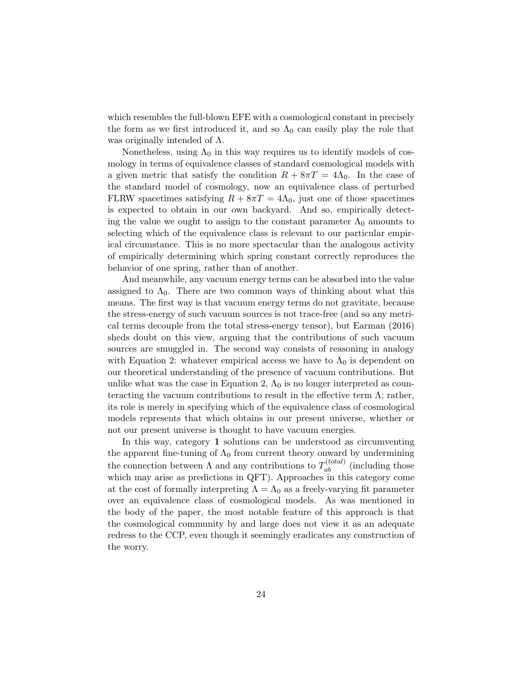which resembles the full-blown EFE with a cosmological constant in precisely the form as we first introduced it, and so  $\Lambda_0$  can easily play the role that was originally intended of  $\Lambda$ .

Nonetheless, using  $\Lambda_0$  in this way requires us to identify models of cosmology in terms of equivalence classes of standard cosmological models with a given metric that satisfy the condition  $R + 8\pi T = 4\Lambda_0$ . In the case of the standard model of cosmology, now an equivalence class of perturbed FLRW spacetimes satisfying  $R + 8\pi T = 4\Lambda_0$ , just one of those spacetimes is expected to obtain in our own backyard. And so, empirically detecting the value we ought to assign to the constant parameter  $\Lambda_0$  amounts to selecting which of the equivalence class is relevant to our particular empirical circumstance. This is no more spectacular than the analogous activity of empirically determining which spring constant correctly reproduces the behavior of one spring, rather than of another.

And meanwhile, any vacuum energy terms can be absorbed into the value assigned to  $\Lambda_0$ . There are two common ways of thinking about what this means. The first way is that vacuum energy terms do not gravitate, because the stress-energy of such vacuum sources is not trace-free (and so any metrical terms decouple from the total stress-energy tensor), but Earman (2016) sheds doubt on this view, arguing that the contributions of such vacuum sources are smuggled in. The second way consists of reasoning in analogy with Equation 2: whatever empirical access we have to  $\Lambda_0$  is dependent on our theoretical understanding of the presence of vacuum contributions. But unlike what was the case in Equation 2,  $\Lambda_0$  is no longer interpreted as counteracting the vacuum contributions to result in the effective term  $\Lambda$ ; rather, its role is merely in specifying which of the equivalence class of cosmological models represents that which obtains in our present universe, whether or not our present universe is thought to have vacuum energies.

In this way, category 1 solutions can be understood as circumventing the apparent fine-tuning of  $\Lambda_0$  from current theory onward by undermining the connection between  $\Lambda$  and any contributions to  $T_{ab}^{(total)}$  (including those which may arise as predictions in QFT). Approaches in this category come at the cost of formally interpreting  $\Lambda = \Lambda_0$  as a freely-varying fit parameter over an equivalence class of cosmological models. As was mentioned in the body of the paper, the most notable feature of this approach is that the cosmological community by and large does not view it as an adequate redress to the CCP, even though it seemingly eradicates any construction of the worry.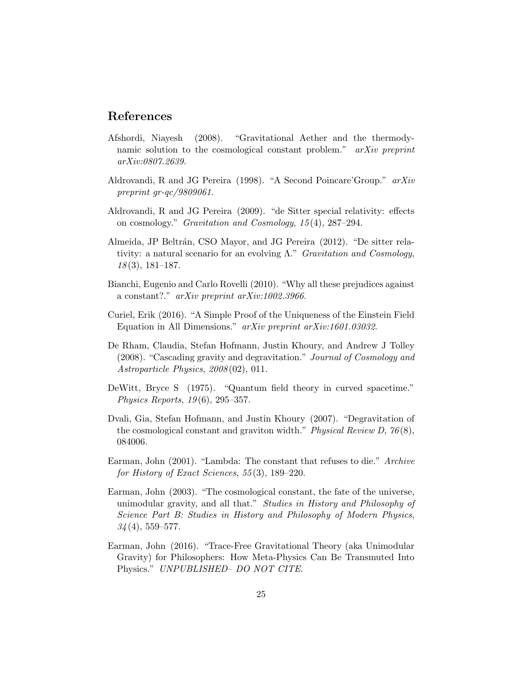### References

- Afshordi, Niayesh (2008). "Gravitational Aether and the thermodynamic solution to the cosmological constant problem." arXiv preprint arXiv:0807.2639.
- Aldrovandi, R and JG Pereira (1998). "A Second Poincare'Group." arXiv preprint gr-qc/9809061.
- Aldrovandi, R and JG Pereira (2009). "de Sitter special relativity: effects on cosmology." Gravitation and Cosmology, 15 (4), 287–294.
- Almeida, JP Beltrán, CSO Mayor, and JG Pereira (2012). "De sitter relativity: a natural scenario for an evolving  $\Lambda$ ." Gravitation and Cosmology,  $18(3)$ , 181–187.
- Bianchi, Eugenio and Carlo Rovelli (2010). "Why all these prejudices against a constant?." arXiv preprint arXiv:1002.3966.
- Curiel, Erik (2016). "A Simple Proof of the Uniqueness of the Einstein Field Equation in All Dimensions." *arXiv preprint arXiv:1601.03032*.
- De Rham, Claudia, Stefan Hofmann, Justin Khoury, and Andrew J Tolley (2008). "Cascading gravity and degravitation." Journal of Cosmology and Astroparticle Physics, 2008 (02), 011.
- DeWitt, Bryce S (1975). "Quantum field theory in curved spacetime." Physics Reports, 19 (6), 295–357.
- Dvali, Gia, Stefan Hofmann, and Justin Khoury (2007). "Degravitation of the cosmological constant and graviton width." Physical Review D,  $76(8)$ , 084006.
- Earman, John (2001). "Lambda: The constant that refuses to die." Archive for History of Exact Sciences, 55 (3), 189–220.
- Earman, John (2003). "The cosmological constant, the fate of the universe, unimodular gravity, and all that." Studies in History and Philosophy of Science Part B: Studies in History and Philosophy of Modern Physics,  $34(4)$ , 559-577.
- Earman, John (2016). "Trace-Free Gravitational Theory (aka Unimodular Gravity) for Philosophers: How Meta-Physics Can Be Transmuted Into Physics." UNPUBLISHED– DO NOT CITE.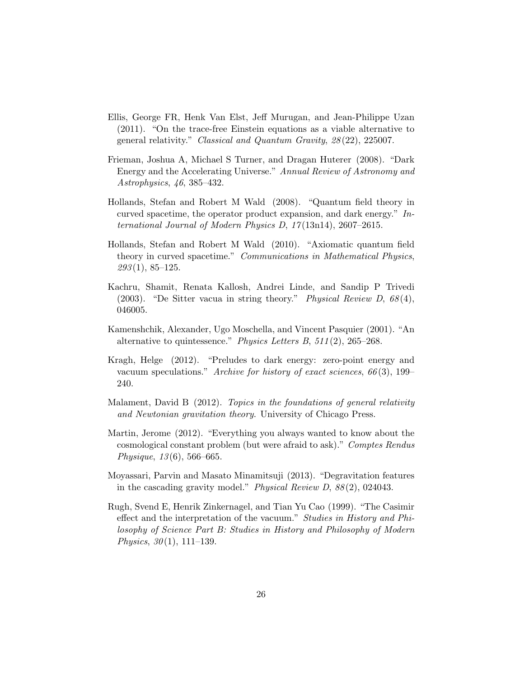- Ellis, George FR, Henk Van Elst, Jeff Murugan, and Jean-Philippe Uzan (2011). "On the trace-free Einstein equations as a viable alternative to general relativity." Classical and Quantum Gravity, 28 (22), 225007.
- Frieman, Joshua A, Michael S Turner, and Dragan Huterer (2008). "Dark Energy and the Accelerating Universe." Annual Review of Astronomy and Astrophysics, 46, 385–432.
- Hollands, Stefan and Robert M Wald (2008). "Quantum field theory in curved spacetime, the operator product expansion, and dark energy."  $In$ ternational Journal of Modern Physics D, 17 (13n14), 2607–2615.
- Hollands, Stefan and Robert M Wald (2010). "Axiomatic quantum field theory in curved spacetime." Communications in Mathematical Physics,  $293(1), 85-125.$
- Kachru, Shamit, Renata Kallosh, Andrei Linde, and Sandip P Trivedi (2003). "De Sitter vacua in string theory." Physical Review D,  $68(4)$ , 046005.
- Kamenshchik, Alexander, Ugo Moschella, and Vincent Pasquier (2001). "An alternative to quintessence." Physics Letters B, 511 (2), 265–268.
- Kragh, Helge (2012). "Preludes to dark energy: zero-point energy and vacuum speculations." Archive for history of exact sciences,  $66(3)$ , 199– 240.
- Malament, David B (2012). Topics in the foundations of general relativity and Newtonian gravitation theory. University of Chicago Press.
- Martin, Jerome (2012). "Everything you always wanted to know about the cosmological constant problem (but were afraid to ask)." Comptes Rendus Physique,  $13(6)$ , 566–665.
- Moyassari, Parvin and Masato Minamitsuji (2013). "Degravitation features in the cascading gravity model." Physical Review D,  $88(2)$ , 024043.
- Rugh, Svend E, Henrik Zinkernagel, and Tian Yu Cao (1999). "The Casimir effect and the interpretation of the vacuum." Studies in History and Philosophy of Science Part B: Studies in History and Philosophy of Modern Physics,  $30(1)$ , 111–139.